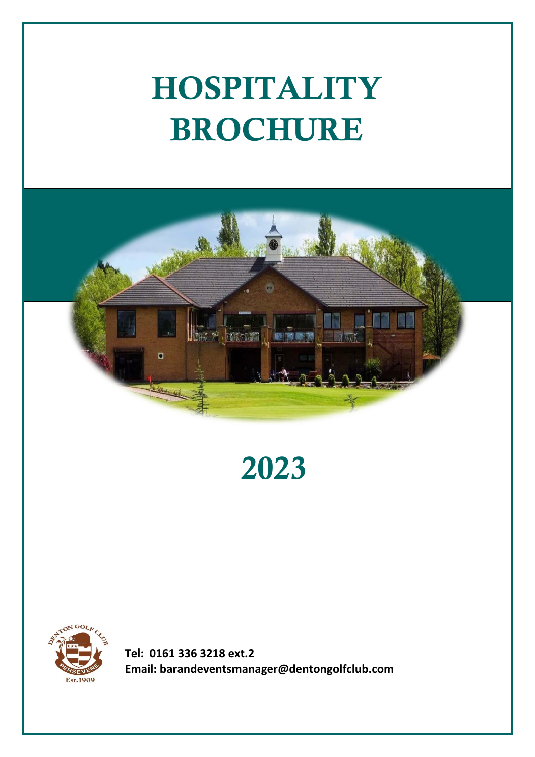# HOSPITALITY BROCHURE



2023



**Tel: 0161 336 3218 ext.2 Email: barandeventsmanager@dentongolfclub.com**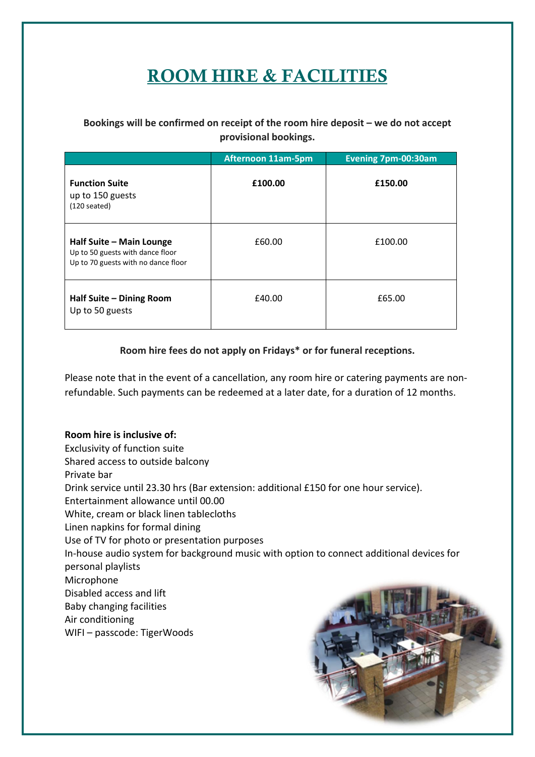# ROOM HIRE & FACILITIES

### **Bookings will be confirmed on receipt of the room hire deposit – we do not accept provisional bookings.**

|                                                                                                     | <b>Afternoon 11am-5pm</b> | <b>Evening 7pm-00:30am</b> |
|-----------------------------------------------------------------------------------------------------|---------------------------|----------------------------|
| <b>Function Suite</b><br>up to 150 guests<br>$(120$ seated)                                         | £100.00                   | £150.00                    |
| Half Suite - Main Lounge<br>Up to 50 guests with dance floor<br>Up to 70 guests with no dance floor | £60.00                    | £100.00                    |
| Half Suite - Dining Room<br>Up to 50 guests                                                         | £40.00                    | £65.00                     |

### **Room hire fees do not apply on Fridays\* or for funeral receptions.**

Please note that in the event of a cancellation, any room hire or catering payments are nonrefundable. Such payments can be redeemed at a later date, for a duration of 12 months.

**Room hire is inclusive of:** Exclusivity of function suite Shared access to outside balcony Private bar Drink service until 23.30 hrs (Bar extension: additional £150 for one hour service). Entertainment allowance until 00.00 White, cream or black linen tablecloths Linen napkins for formal dining Use of TV for photo or presentation purposes In-house audio system for background music with option to connect additional devices for personal playlists Microphone Disabled access and lift Baby changing facilities Air conditioning WIFI – passcode: TigerWoods

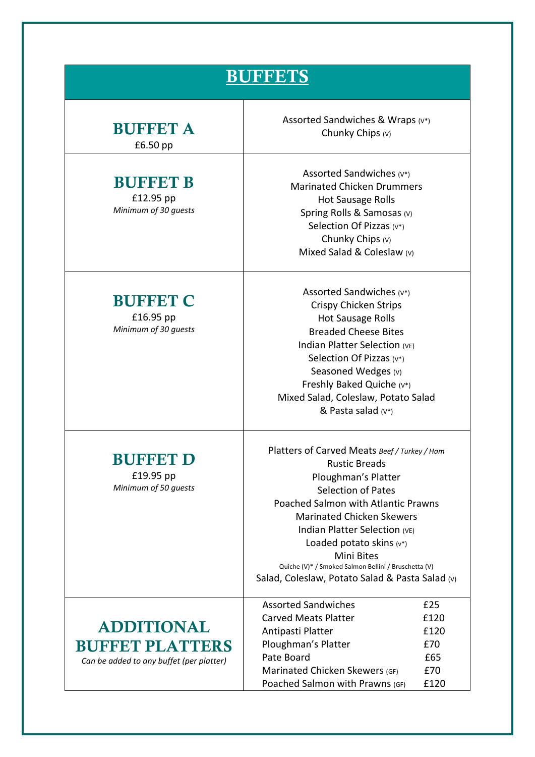| <b>BUFFETS</b>                                                                          |                                                                                                                                                                                                                                                                                                                                                                                                            |                                                  |
|-----------------------------------------------------------------------------------------|------------------------------------------------------------------------------------------------------------------------------------------------------------------------------------------------------------------------------------------------------------------------------------------------------------------------------------------------------------------------------------------------------------|--------------------------------------------------|
| <b>BUFFET A</b><br>£6.50 pp                                                             | Assorted Sandwiches & Wraps (v*)<br>Chunky Chips (v)                                                                                                                                                                                                                                                                                                                                                       |                                                  |
| <b>BUFFET B</b><br>£12.95 pp<br>Minimum of 30 guests                                    | Assorted Sandwiches (v*)<br><b>Marinated Chicken Drummers</b><br><b>Hot Sausage Rolls</b><br>Spring Rolls & Samosas (v)<br>Selection Of Pizzas (v*)<br>Chunky Chips (v)<br>Mixed Salad & Coleslaw (v)                                                                                                                                                                                                      |                                                  |
| <b>BUFFET C</b><br>£16.95 pp<br>Minimum of 30 guests                                    | Assorted Sandwiches (v*)<br>Crispy Chicken Strips<br><b>Hot Sausage Rolls</b><br><b>Breaded Cheese Bites</b><br>Indian Platter Selection (VE)<br>Selection Of Pizzas (v*)<br>Seasoned Wedges (v)<br>Freshly Baked Quiche (v*)<br>Mixed Salad, Coleslaw, Potato Salad<br>& Pasta salad $(v^*)$                                                                                                              |                                                  |
| <b>BUFFET D</b><br>£19.95 pp<br>Minimum of 50 guests                                    | Platters of Carved Meats Beef / Turkey / Ham<br><b>Rustic Breads</b><br>Ploughman's Platter<br><b>Selection of Pates</b><br><b>Poached Salmon with Atlantic Prawns</b><br><b>Marinated Chicken Skewers</b><br>Indian Platter Selection (VE)<br>Loaded potato skins $(v^*)$<br><b>Mini Bites</b><br>Quiche (V)* / Smoked Salmon Bellini / Bruschetta (V)<br>Salad, Coleslaw, Potato Salad & Pasta Salad (v) |                                                  |
| <b>ADDITIONAL</b><br><b>BUFFET PLATTERS</b><br>Can be added to any buffet (per platter) | <b>Assorted Sandwiches</b><br><b>Carved Meats Platter</b><br>Antipasti Platter<br>Ploughman's Platter<br>Pate Board<br>Marinated Chicken Skewers (GF)<br>Poached Salmon with Prawns (GF)                                                                                                                                                                                                                   | £25<br>£120<br>£120<br>£70<br>£65<br>£70<br>£120 |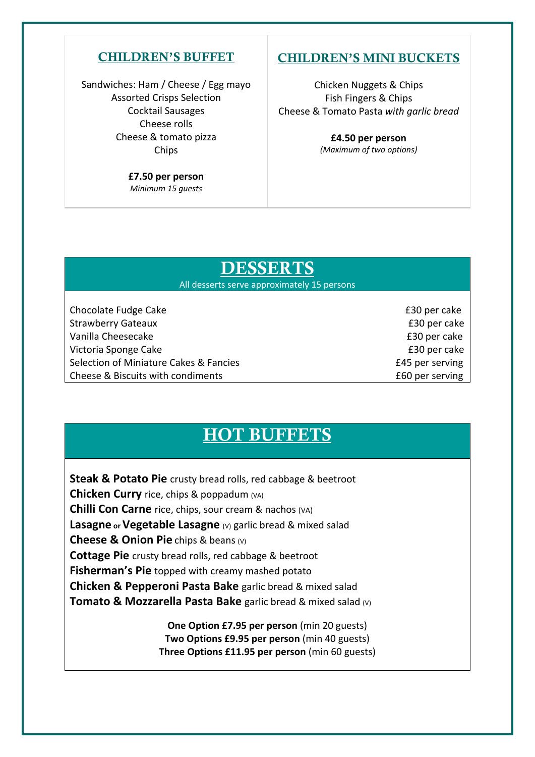### CHILDREN'S BUFFET

Sandwiches: Ham / Cheese / Egg mayo Assorted Crisps Selection Cocktail Sausages Cheese rolls Cheese & tomato pizza Chips

> **£7.50 per person** *Minimum 15 guests*

### CHILDREN'S MINI BUCKETS

Chicken Nuggets & Chips Fish Fingers & Chips Cheese & Tomato Pasta *with garlic bread*

> **£4.50 per person** *(Maximum of two options)*

### DESSERTS

All desserts serve approximately 15 persons

Chocolate Fudge Cake £30 per cake Strawberry Gateaux **E30** per cake Vanilla Cheesecake £30 per cake Victoria Sponge Cake £30 per cake Selection of Miniature Cakes & Fancies **2008 E45** per serving Cheese & Biscuits with condiments <br>
E60 per serving

### HOT BUFFETS

**Steak & Potato Pie** crusty bread rolls, red cabbage & beetroot **Chicken Curry** rice, chips & poppadum (VA) **Chilli Con Carne** rice, chips, sour cream & nachos (VA) **Lasagne** or **Vegetable Lasagne** (v) garlic bread & mixed salad **Cheese & Onion Pie** chips & beans (V) **Cottage Pie** crusty bread rolls, red cabbage & beetroot **Fisherman's Pie** topped with creamy mashed potato **Chicken & Pepperoni Pasta Bake** garlic bread & mixed salad **Tomato & Mozzarella Pasta Bake** garlic bread & mixed salad (v)

> **One Option £7.95 per person** (min 20 guests) **Two Options £9.95 per person** (min 40 guests) **Three Options £11.95 per person** (min 60 guests)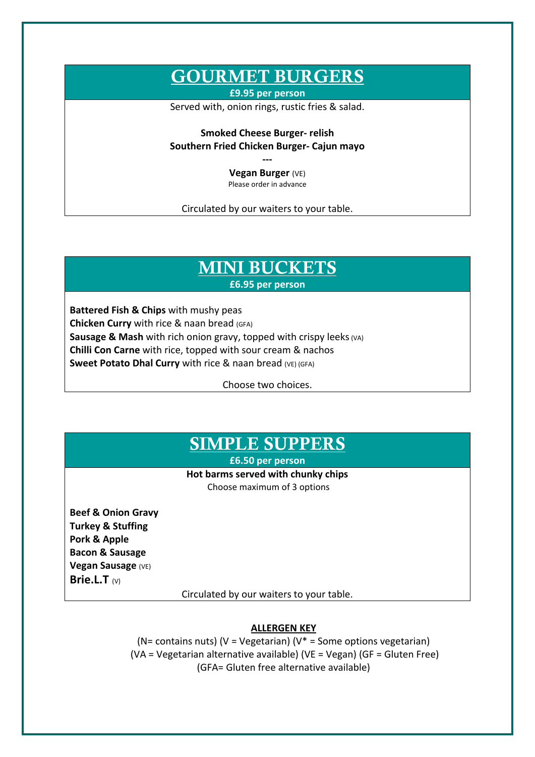## GOURMET BURGERS

**£9.95 per person** 

Served with, onion rings, rustic fries & salad.

**Smoked Cheese Burger- relish Southern Fried Chicken Burger- Cajun mayo**

> **--- Vegan Burger** (VE) Please order in advance

Circulated by our waiters to your table.

### MINI BUCKETS **£6.95 per person**

**Battered Fish & Chips** with mushy peas **Chicken Curry** with rice & naan bread (GFA) **Sausage & Mash** with rich onion gravy, topped with crispy leeks (VA) **Chilli Con Carne** with rice, topped with sour cream & nachos **Sweet Potato Dhal Curry** with rice & naan bread (VE) (GFA)

Choose two choices.

### SIMPLE SUPPERS

**£6.50 per person**

### **Hot barms served with chunky chips**

Choose maximum of 3 options

**Beef & Onion Gravy Turkey & Stuffing Pork & Apple Bacon & Sausage Vegan Sausage** (VE) **Brie.L.T** (V)

Circulated by our waiters to your table.

#### **ALLERGEN KEY**

(N= contains nuts) (V = Vegetarian) (V<sup>\*</sup> = Some options vegetarian) (VA = Vegetarian alternative available) (VE = Vegan) (GF = Gluten Free) (GFA= Gluten free alternative available)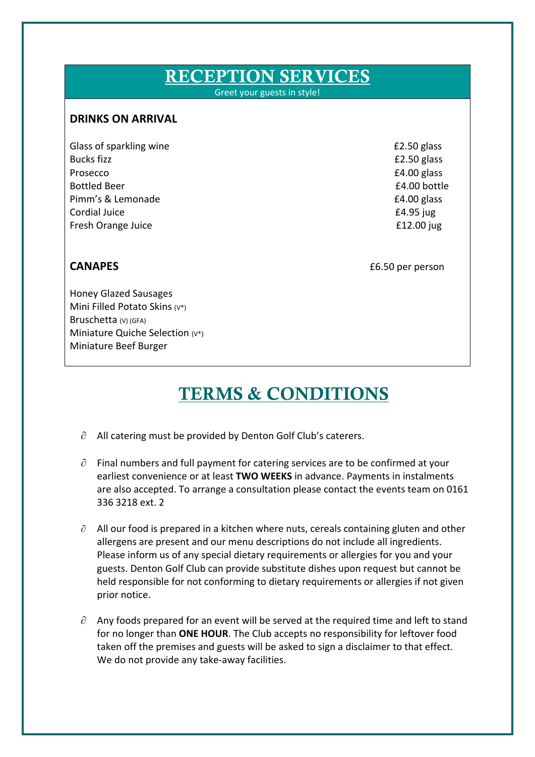# RECEPTION SERVICES

Greet your guests in style!

### **DRINKS ON ARRIVAL**

Glass of sparkling wine **E2.50** glass Bucks fizz **EQ.50** glass Prosecco **E4.00 glass** Bottled Beer **2008 E4.00 bottle** Pimm's & Lemonade **E4.00 glass** Cordial Juice £4.95 jug Fresh Orange Juice **E12.00** jug

**CANAPES E6.50** per person

Honey Glazed Sausages Mini Filled Potato Skins (V\*) Bruschetta (V) (GFA) Miniature Quiche Selection (V\*) Miniature Beef Burger

## TERMS & CONDITIONS

- $\partial$  All catering must be provided by Denton Golf Club's caterers.
- $\partial$  Final numbers and full payment for catering services are to be confirmed at your earliest convenience or at least **TWO WEEKS** in advance. Payments in instalments are also accepted. To arrange a consultation please contact the events team on 0161 336 3218 ext. 2
- $\partial$  All our food is prepared in a kitchen where nuts, cereals containing gluten and other allergens are present and our menu descriptions do not include all ingredients. Please inform us of any special dietary requirements or allergies for you and your guests. Denton Golf Club can provide substitute dishes upon request but cannot be held responsible for not conforming to dietary requirements or allergies if not given prior notice.
- $\partial$  Any foods prepared for an event will be served at the required time and left to stand for no longer than **ONE HOUR**. The Club accepts no responsibility for leftover food taken off the premises and guests will be asked to sign a disclaimer to that effect. We do not provide any take-away facilities.